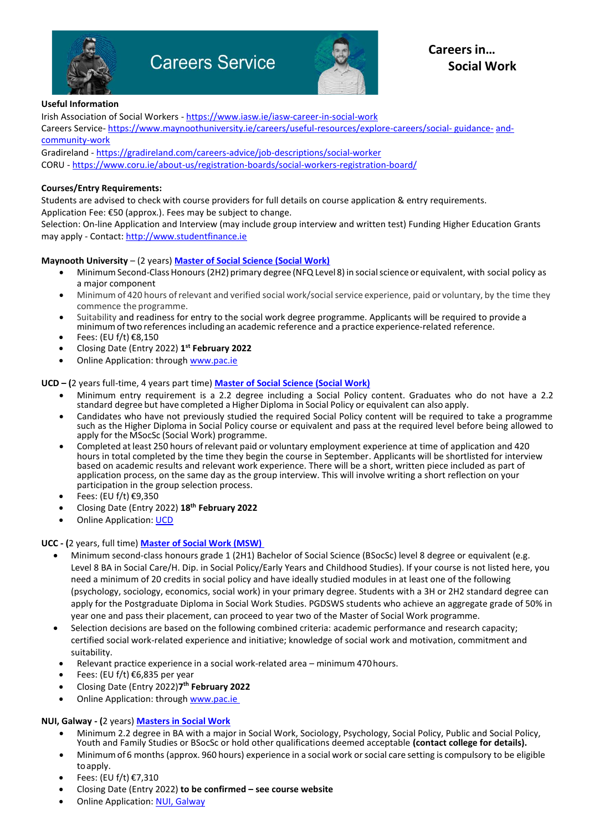

# **Careers Service**



#### **Useful Information**

Irish Association of Social Workers - <https://www.iasw.ie/iasw-career-in-social-work> Careers Service- [https://www.maynoothuniversity.ie/careers/useful-resources/explore-careers/social-](https://www.maynoothuniversity.ie/careers/useful-resources/explore-careers/social-guidance-and-community-work) [guidance-](https://www.maynoothuniversity.ie/careers/useful-resources/explore-careers/social-guidance-and-community-work) [and](https://www.maynoothuniversity.ie/careers/useful-resources/explore-careers/social-guidance-and-community-work)[community-work](https://www.maynoothuniversity.ie/careers/useful-resources/explore-careers/social-guidance-and-community-work)

Gradireland - <https://gradireland.com/careers-advice/job-descriptions/social-worker> CORU - <https://www.coru.ie/about-us/registration-boards/social-workers-registration-board/>

### **Courses/Entry Requirements:**

Students are advised to check with course providers for full details on course application & entry requirements. Application Fee: €50 (approx.). Fees may be subject to change.

Selection: On-line Application and Interview (may include group interview and written test) Funding Higher Education Grants may apply - Contact[: http://www.studentfinance.ie](http://www.studentfinance.ie/)

#### **Maynooth University** – (2 years) **[Master of Social Science \(Social Work\)](https://www.maynoothuniversity.ie/study-maynooth/postgraduate-studies/courses/master-social-science-social-work)**

- Minimum Second-Class Honours (2H2) primary degree (NFQ Level 8) in social science or equivalent, with social policy as a major component
- Minimum of 420 hours ofrelevant and verified social work/social service experience, paid or voluntary, by the time they commence the programme.
- Suitability and readiness for entry to the social work degree programme. Applicants will be required to provide a minimumoftwo referencesincluding an academic reference and a practice experience-related reference.
- Fees: (EU  $f/t$ )  $\in$ 8,150
- Closing Date (Entry 2022) **1 st February 2022**
- Online Application: through [www.pac.ie](http://www.pac.ie/)

**UCD – (**2 years full-time, 4 years part time) **[Master of Social Science \(Social Work\)](https://sisweb.ucd.ie/usis/!W_HU_MENU.P_PUBLISH?p_tag=PROG&MAJR=W426)**

- Minimum entry requirement is a 2.2 degree including a Social Policy content. Graduates who do not have a 2.2 standard degree but have completed a Higher Diploma in Social Policy or equivalent can also apply.
- Candidates who have not previously studied the required Social Policy content will be required to take a programme such as the Higher Diploma in Social Policy course or equivalent and pass at the required level before being allowed to apply for the MSocSc (Social Work) programme.
- Completed at least 250 hours ofrelevant paid or voluntary employment experience at time of application and 420 hours in total completed by the time they begin the course in September. Applicants will be shortlisted for interview based on academic results and relevant work experience. There will be a short, written piece included as part of application process, on the same day as the group interview. This will involve writing a short reflection on your participation in the group selection process.
- Fees: (EU f/t) €9,350
- Closing Date (Entry 2022) **18th February 2022**
- Online Application: [UCD](http://www.ucd.ie/registry/admissions/apply.html)

## **UCC - (**2 years, full time) **[Master of Social Work \(MSW\)](https://www.ucc.ie/en/msw/)**

- Minimum second-class honours grade 1 (2H1) Bachelor of Social Science (BSocSc) level 8 degree or equivalent (e.g. Level 8 BA in Social Care/H. Dip. in Social Policy/Early Years and Childhood Studies). If your course is not listed here, you need a minimum of 20 credits in social policy and have ideally studied modules in at least one of the following (psychology, sociology, economics, social work) in your primary degree. Students with a 3H or 2H2 standard degree can apply for the Postgraduate Diploma in Social Work Studies. PGDSWS students who achieve an aggregate grade of 50% in year one and pass their placement, can proceed to year two of the Master of Social Work programme.
- Selection decisions are based on the following combined criteria: academic performance and research capacity; certified social work-related experience and initiative; knowledge of social work and motivation, commitment and suitability.
- Relevant practice experience in a social work-related area minimum 470 hours.
- Fees: (EU f/t)  $\epsilon$ 6,835 per year
- Closing Date (Entry 2022)**7 th February 2022**
- Online Application: through [www.pac.ie](http://www.pac.ie/)

## **NUI, Galway - (**2 years) **[Masters in Social Work](http://www.nuigalway.ie/colleges-and-schools/arts-social-sciences-and-celtic-studies/political-science-and-sociology/postgraduate-programmes/socialworkma/)**

- Minimum 2.2 degree in BA with a major in Social Work, Sociology, Psychology, Social Policy, Public and Social Policy, Youth and Family Studies or BSocSc or hold other qualifications deemed acceptable **(contact college for details).**
- Minimumof 6 months (approx. 960 hours) experience in a social work orsocial care setting is compulsory to be eligible toapply.
- Fees: (EU f/t) €7,310
- Closing Date (Entry 2022) **to be confirmed – see course website**
- Online Application: [NUI, Galway](https://nuigalway.elluciancrmrecruit.com/Apply/Account/Login)